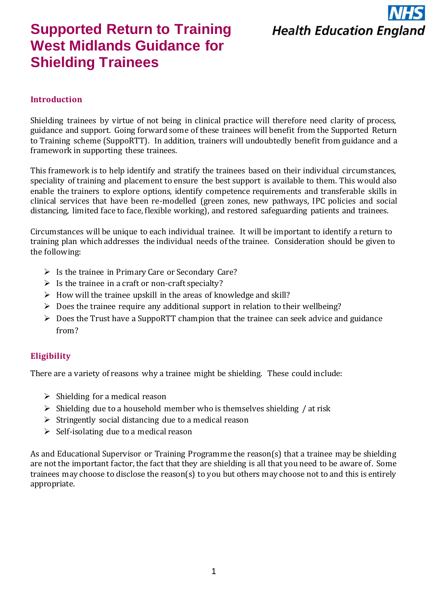

# **Supported Return to Training West Midlands Guidance for Shielding Trainees**

### **Introduction**

Shielding trainees by virtue of not being in clinical practice will therefore need clarity of process, guidance and support. Going forward some of these trainees will benefit from the Supported Return to Training scheme (SuppoRTT). In addition, trainers will undoubtedly benefit from guidance and a framework in supporting these trainees.

This framework is to help identify and stratify the trainees based on their individual circumstances, speciality of training and placement to ensure the best support is available to them. This would also enable the trainers to explore options, identify competence requirements and transferable skills in clinical services that have been re-modelled (green zones, new pathways, IPC policies and social distancing, limited face to face, flexible working), and restored safeguarding patients and trainees.

Circumstances will be unique to each individual trainee. It will be important to identify a return to training plan which addresses the individual needs of the trainee. Consideration should be given to the following:

- ➢ Is the trainee in Primary Care or Secondary Care?
- $\triangleright$  Is the trainee in a craft or non-craft specialty?
- $\triangleright$  How will the trainee upskill in the areas of knowledge and skill?
- ➢ Does the trainee require any additional support in relation to their wellbeing?
- $\triangleright$  Does the Trust have a SuppoRTT champion that the trainee can seek advice and guidance from?

### **Eligibility**

There are a variety of reasons why a trainee might be shielding. These could include:

- $\triangleright$  Shielding for a medical reason
- $\triangleright$  Shielding due to a household member who is themselves shielding / at risk
- $\triangleright$  Stringently social distancing due to a medical reason
- $\triangleright$  Self-isolating due to a medical reason

As and Educational Supervisor or Training Programme the reason(s) that a trainee may be shielding are not the important factor, the fact that they are shielding is all that you need to be aware of. Some trainees may choose to disclose the reason(s) to you but others may choose not to and this is entirely appropriate.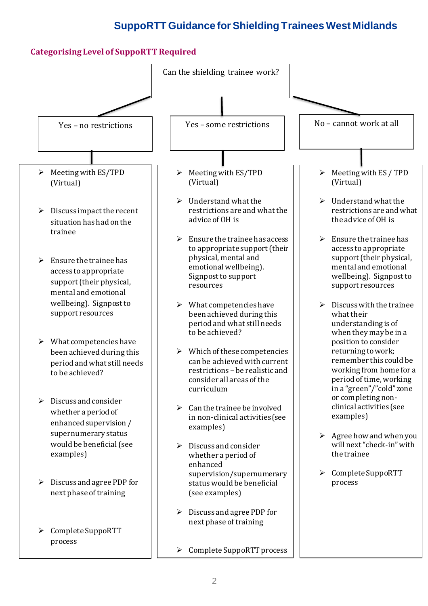### **Categorising Level of SuppoRTT Required**

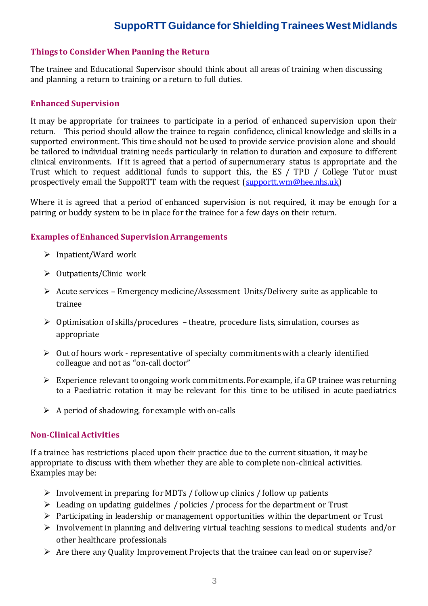### **Things to Consider When Panning the Return**

The trainee and Educational Supervisor should think about all areas of training when discussing and planning a return to training or a return to full duties.

#### **Enhanced Supervision**

It may be appropriate for trainees to participate in a period of enhanced supervision upon their return. This period should allow the trainee to regain confidence, clinical knowledge and skills in a supported environment. This time should not be used to provide service provision alone and should be tailored to individual training needs particularly in relation to duration and exposure to different clinical environments. If it is agreed that a period of supernumerary status is appropriate and the Trust which to request additional funds to support this, the ES / TPD / College Tutor must prospectively email the SuppoRTT team with the request [\(supportt.wm@hee.nhs.uk\)](mailto:supportt.wm@hee.nhs.uk)

Where it is agreed that a period of enhanced supervision is not required, it may be enough for a pairing or buddy system to be in place for the trainee for a few days on their return.

### **Examples of Enhanced Supervision Arrangements**

- ➢ Inpatient/Ward work
- ➢ Outpatients/Clinic work
- ➢ Acute services Emergency medicine/Assessment Units/Delivery suite as applicable to trainee
- ➢ Optimisation of skills/procedures theatre, procedure lists, simulation, courses as appropriate
- $\triangleright$  Out of hours work representative of specialty commitments with a clearly identified colleague and not as "on-call doctor"
- $\triangleright$  Experience relevant to ongoing work commitments. For example, if a GP trainee was returning to a Paediatric rotation it may be relevant for this time to be utilised in acute paediatrics
- $\triangleright$  A period of shadowing, for example with on-calls

### **Non-Clinical Activities**

If a trainee has restrictions placed upon their practice due to the current situation, it may be appropriate to discuss with them whether they are able to complete non-clinical activities. Examples may be:

- ➢ Involvement in preparing for MDTs / follow up clinics / follow up patients
- ➢ Leading on updating guidelines / policies / process for the department or Trust
- ➢ Participating in leadership or management opportunities within the department or Trust
- ➢ Involvement in planning and delivering virtual teaching sessions to medical students and/or other healthcare professionals
- ➢ Are there any Quality Improvement Projects that the trainee can lead on or supervise?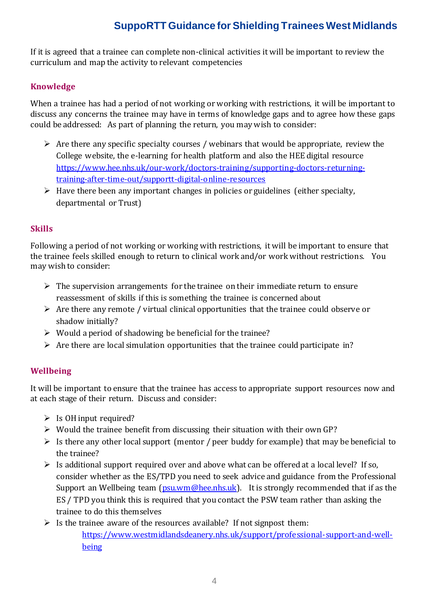If it is agreed that a trainee can complete non-clinical activities it will be important to review the curriculum and map the activity to relevant competencies

### **Knowledge**

When a trainee has had a period of not working or working with restrictions, it will be important to discuss any concerns the trainee may have in terms of knowledge gaps and to agree how these gaps could be addressed: As part of planning the return, you may wish to consider:

- $\triangleright$  Are there any specific specialty courses / webinars that would be appropriate, review the College website, the e-learning for health platform and also the HEE digital resource [https://www.hee.nhs.uk/our-work/doctors-training/supporting-doctors-returning](https://www.hee.nhs.uk/our-work/doctors-training/supporting-doctors-returning-training-after-time-out/supportt-digital-online-resources)[training-after-time-out/supportt-digital-online-resources](https://www.hee.nhs.uk/our-work/doctors-training/supporting-doctors-returning-training-after-time-out/supportt-digital-online-resources)
- $\triangleright$  Have there been any important changes in policies or guidelines (either specialty, departmental or Trust)

### **Skills**

Following a period of not working or working with restrictions, it will be important to ensure that the trainee feels skilled enough to return to clinical work and/or work without restrictions. You may wish to consider:

- $\triangleright$  The supervision arrangements for the trainee on their immediate return to ensure reassessment of skills if this is something the trainee is concerned about
- $\triangleright$  Are there any remote / virtual clinical opportunities that the trainee could observe or shadow initially?
- $\triangleright$  Would a period of shadowing be beneficial for the trainee?
- $\triangleright$  Are there are local simulation opportunities that the trainee could participate in?

### **Wellbeing**

It will be important to ensure that the trainee has access to appropriate support resources now and at each stage of their return. Discuss and consider:

- $\triangleright$  Is OH input required?
- $\triangleright$  Would the trainee benefit from discussing their situation with their own GP?
- $\triangleright$  Is there any other local support (mentor / peer buddy for example) that may be beneficial to the trainee?
- $\triangleright$  Is additional support required over and above what can be offered at a local level? If so, consider whether as the ES/TPD you need to seek advice and guidance from the Professional Support an Wellbeing team  $(p_{\text{SU}}\text{W})$  measure. It is strongly recommended that if as the ES / TPD you think this is required that you contact the PSW team rather than asking the trainee to do this themselves
- $\triangleright$  Is the trainee aware of the resources available? If not signpost them: [https://www.westmidlandsdeanery.nhs.uk/support/professional-support-and-well](https://www.westmidlandsdeanery.nhs.uk/support/professional-support-and-well-being)[being](https://www.westmidlandsdeanery.nhs.uk/support/professional-support-and-well-being)